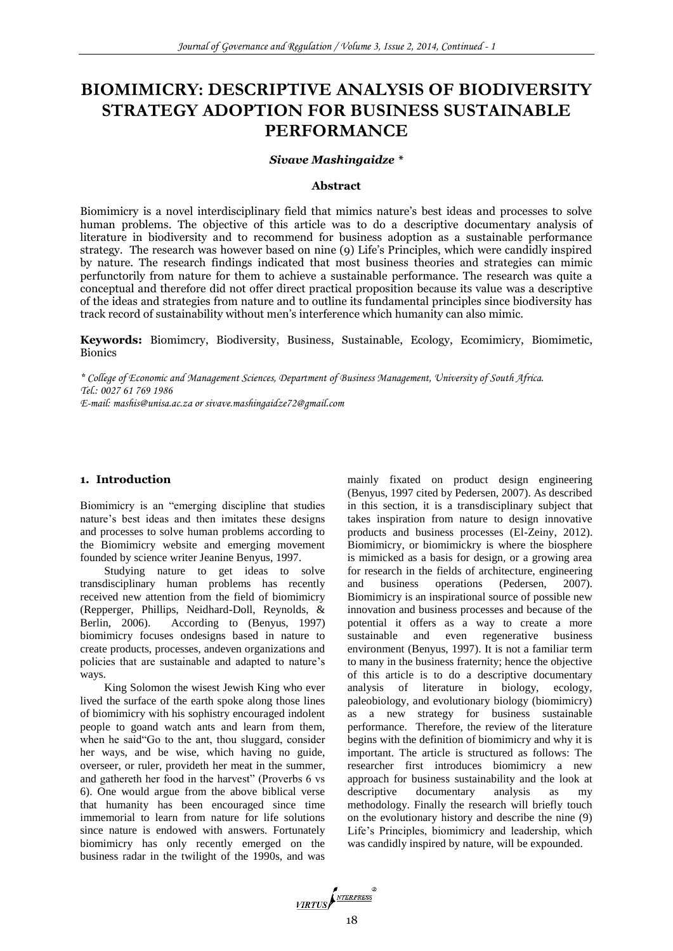# **BIOMIMICRY: DESCRIPTIVE ANALYSIS OF BIODIVERSITY STRATEGY ADOPTION FOR BUSINESS SUSTAINABLE PERFORMANCE**

#### *Sivave Mashingaidze \**

#### **Abstract**

Biomimicry is a novel interdisciplinary field that mimics nature's best ideas and processes to solve human problems. The objective of this article was to do a descriptive documentary analysis of literature in biodiversity and to recommend for business adoption as a sustainable performance strategy. The research was however based on nine (9) Life's Principles, which were candidly inspired by nature. The research findings indicated that most business theories and strategies can mimic perfunctorily from nature for them to achieve a sustainable performance. The research was quite a conceptual and therefore did not offer direct practical proposition because its value was a descriptive of the ideas and strategies from nature and to outline its fundamental principles since biodiversity has track record of sustainability without men's interference which humanity can also mimic.

**Keywords:** Biomimcry, Biodiversity, Business, Sustainable, Ecology, Ecomimicry, Biomimetic, **Bionics** 

*\* College of Economic and Management Sciences, Department of Business Management, University of South Africa. Tel.: 0027 61 769 1986 E-mail: mashis@unisa.ac.za or sivave.mashingaidze72@gmail.com* 

## **1. Introduction**

Biomimicry is an "emerging discipline that studies nature's best ideas and then imitates these designs and processes to solve human problems according to the Biomimicry website and emerging movement founded by science writer Jeanine Benyus, 1997.

Studying nature to get ideas to solve transdisciplinary human problems has recently received new attention from the field of biomimicry (Repperger, Phillips, Neidhard-Doll, Reynolds, & Berlin, 2006). According to (Benyus, 1997) biomimicry focuses ondesigns based in nature to create products, processes, andeven organizations and policies that are sustainable and adapted to nature's ways.

King Solomon the wisest Jewish King who ever lived the surface of the earth spoke along those lines of biomimicry with his sophistry encouraged indolent people to goand watch ants and learn from them, when he said"Go to the ant, thou sluggard, consider her ways, and be wise, which having no guide, overseer, or ruler, provideth her meat in the summer, and gathereth her food in the harvest" (Proverbs 6 vs 6). One would argue from the above biblical verse that humanity has been encouraged since time immemorial to learn from nature for life solutions since nature is endowed with answers. Fortunately biomimicry has only recently emerged on the business radar in the twilight of the 1990s, and was

mainly fixated on product design engineering (Benyus, 1997 cited by Pedersen, 2007). As described in this section, it is a transdisciplinary subject that takes inspiration from nature to design innovative products and business processes (El-Zeiny, 2012). Biomimicry, or biomimickry is where the biosphere is mimicked as a basis for design, or a growing area for research in the fields of architecture, engineering and business operations (Pedersen, 2007). Biomimicry is an inspirational source of possible new innovation and business processes and because of the potential it offers as a way to create a more sustainable and even regenerative business environment (Benyus, 1997). It is not a familiar term to many in the business fraternity; hence the objective of this article is to do a descriptive documentary analysis of literature in biology, ecology, paleobiology, and evolutionary biology (biomimicry) as a new strategy for business sustainable performance. Therefore, the review of the literature begins with the definition of biomimicry and why it is important. The article is structured as follows: The researcher first introduces biomimicry a new approach for business sustainability and the look at descriptive documentary analysis as my methodology. Finally the research will briefly touch on the evolutionary history and describe the nine (9) Life's Principles, biomimicry and leadership, which was candidly inspired by nature, will be expounded.

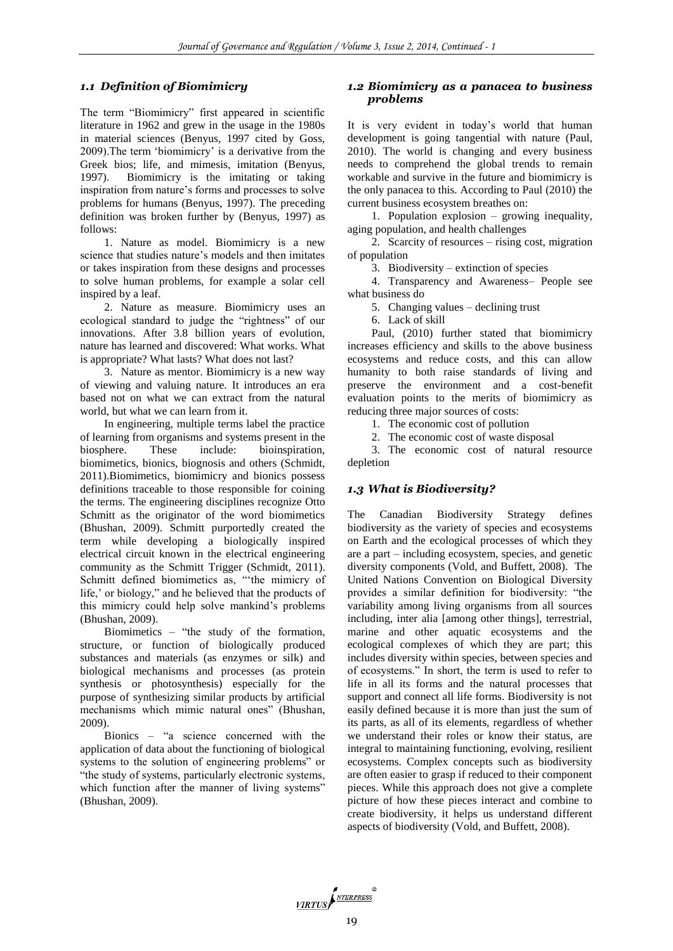## *1.1 Definition of Biomimicry*

The term "Biomimicry" first appeared in scientific literature in 1962 and grew in the usage in the 1980s in material sciences (Benyus, 1997 cited by Goss, 2009).The term 'biomimicry' is a derivative from the Greek bios; life, and mimesis, imitation (Benyus, 1997). Biomimicry is the imitating or taking inspiration from nature's forms and processes to solve problems for humans (Benyus, 1997). The preceding definition was broken further by (Benyus, 1997) as follows:

1. Nature as model. Biomimicry is a new science that studies nature's models and then imitates or takes inspiration from these designs and processes to solve human problems, for example a solar cell inspired by a leaf.

2. Nature as measure. Biomimicry uses an ecological standard to judge the "rightness" of our innovations. After 3.8 billion years of evolution, nature has learned and discovered: What works. What is appropriate? What lasts? What does not last?

3. Nature as mentor. Biomimicry is a new way of viewing and valuing nature. It introduces an era based not on what we can extract from the natural world, but what we can learn from it.

In engineering, multiple terms label the practice of learning from organisms and systems present in the biosphere. These include: bioinspiration, biomimetics, bionics, biognosis and others (Schmidt, 2011).Biomimetics, biomimicry and bionics possess definitions traceable to those responsible for coining the terms. The engineering disciplines recognize Otto Schmitt as the originator of the word biomimetics (Bhushan, 2009). Schmitt purportedly created the term while developing a biologically inspired electrical circuit known in the electrical engineering community as the Schmitt Trigger (Schmidt, 2011). Schmitt defined biomimetics as, "'the mimicry of life,' or biology," and he believed that the products of this mimicry could help solve mankind's problems (Bhushan, 2009).

Biomimetics – "the study of the formation, structure, or function of biologically produced substances and materials (as enzymes or silk) and biological mechanisms and processes (as protein synthesis or photosynthesis) especially for the purpose of synthesizing similar products by artificial mechanisms which mimic natural ones" (Bhushan, 2009).

Bionics – "a science concerned with the application of data about the functioning of biological systems to the solution of engineering problems" or "the study of systems, particularly electronic systems, which function after the manner of living systems" (Bhushan, 2009).

## *1.2 Biomimicry as a panacea to business problems*

It is very evident in today's world that human development is going tangential with nature (Paul, 2010). The world is changing and every business needs to comprehend the global trends to remain workable and survive in the future and biomimicry is the only panacea to this. According to Paul (2010) the current business ecosystem breathes on:

1. Population explosion – growing inequality, aging population, and health challenges

2. Scarcity of resources – rising cost, migration of population

3. Biodiversity – extinction of species

4. Transparency and Awareness– People see what business do

5. Changing values – declining trust

6. Lack of skill

Paul, (2010) further stated that biomimicry increases efficiency and skills to the above business ecosystems and reduce costs, and this can allow humanity to both raise standards of living and preserve the environment and a cost-benefit evaluation points to the merits of biomimicry as reducing three major sources of costs:

1. The economic cost of pollution

2. The economic cost of waste disposal

3. The economic cost of natural resource depletion

#### *1.3 What is Biodiversity?*

The Canadian Biodiversity Strategy defines biodiversity as the variety of species and ecosystems on Earth and the ecological processes of which they are a part – including ecosystem, species, and genetic diversity components (Vold, and Buffett, 2008). The United Nations Convention on Biological Diversity provides a similar definition for biodiversity: "the variability among living organisms from all sources including, inter alia [among other things], terrestrial, marine and other aquatic ecosystems and the ecological complexes of which they are part; this includes diversity within species, between species and of ecosystems." In short, the term is used to refer to life in all its forms and the natural processes that support and connect all life forms. Biodiversity is not easily defined because it is more than just the sum of its parts, as all of its elements, regardless of whether we understand their roles or know their status, are integral to maintaining functioning, evolving, resilient ecosystems. Complex concepts such as biodiversity are often easier to grasp if reduced to their component pieces. While this approach does not give a complete picture of how these pieces interact and combine to create biodiversity, it helps us understand different aspects of biodiversity (Vold, and Buffett, 2008).

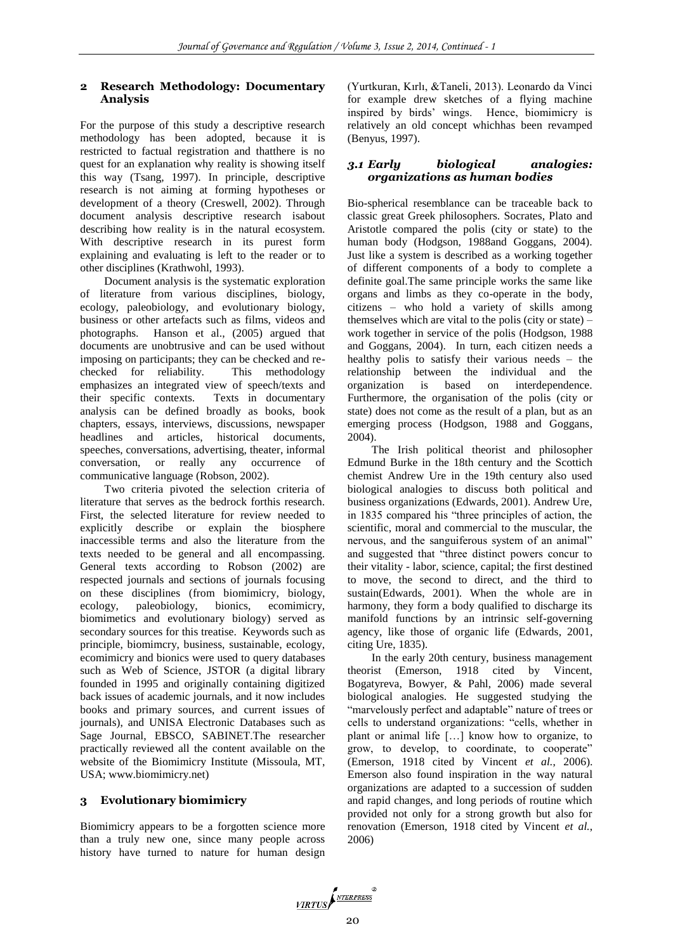#### **2 Research Methodology: Documentary Analysis**

For the purpose of this study a descriptive research methodology has been adopted, because it is restricted to factual registration and thatthere is no quest for an explanation why reality is showing itself this way (Tsang, 1997). In principle, descriptive research is not aiming at forming hypotheses or development of a theory (Creswell, 2002). Through document analysis descriptive research isabout describing how reality is in the natural ecosystem. With descriptive research in its purest form explaining and evaluating is left to the reader or to other disciplines (Krathwohl, 1993).

Document analysis is the systematic exploration of literature from various disciplines, biology, ecology, paleobiology, and evolutionary biology, business or other artefacts such as films, videos and photographs. Hanson et al., (2005) argued that documents are unobtrusive and can be used without imposing on participants; they can be checked and rechecked for reliability. This methodology emphasizes an integrated view of speech/texts and their specific contexts. Texts in documentary analysis can be defined broadly as books, book chapters, essays, interviews, discussions, newspaper headlines and articles, historical documents, speeches, conversations, advertising, theater, informal conversation, or really any occurrence of communicative language (Robson, 2002).

Two criteria pivoted the selection criteria of literature that serves as the bedrock forthis research. First, the selected literature for review needed to explicitly describe or explain the biosphere inaccessible terms and also the literature from the texts needed to be general and all encompassing. General texts according to Robson (2002) are respected journals and sections of journals focusing on these disciplines (from biomimicry, biology, ecology, paleobiology, bionics, ecomimicry, biomimetics and evolutionary biology) served as secondary sources for this treatise. Keywords such as principle, biomimcry, business, sustainable, ecology, ecomimicry and bionics were used to query databases such as Web of Science, JSTOR (a digital library founded in 1995 and originally containing digitized back issues of academic journals, and it now includes books and primary sources, and current issues of journals), and UNISA Electronic Databases such as Sage Journal, EBSCO, SABINET.The researcher practically reviewed all the content available on the website of the Biomimicry Institute (Missoula, MT, USA; www.biomimicry.net)

# **3 Evolutionary biomimicry**

Biomimicry appears to be a forgotten science more than a truly new one, since many people across history have turned to nature for human design

(Yurtkuran, Kırlı, &Taneli, 2013). Leonardo da Vinci for example drew sketches of a flying machine inspired by birds' wings. Hence, biomimicry is relatively an old concept whichhas been revamped (Benyus, 1997).

## *3.1 Early biological analogies: organizations as human bodies*

Bio-spherical resemblance can be traceable back to classic great Greek philosophers. Socrates, Plato and Aristotle compared the polis (city or state) to the human body (Hodgson, 1988and Goggans, 2004). Just like a system is described as a working together of different components of a body to complete a definite goal.The same principle works the same like organs and limbs as they co-operate in the body, citizens – who hold a variety of skills among themselves which are vital to the polis (city or state) – work together in service of the polis (Hodgson, 1988 and Goggans, 2004). In turn, each citizen needs a healthy polis to satisfy their various needs – the relationship between the individual and the organization is based on interdependence. Furthermore, the organisation of the polis (city or state) does not come as the result of a plan, but as an emerging process (Hodgson, 1988 and Goggans, 2004).

The Irish political theorist and philosopher Edmund Burke in the 18th century and the Scottich chemist Andrew Ure in the 19th century also used biological analogies to discuss both political and business organizations (Edwards, 2001). Andrew Ure, in 1835 compared his "three principles of action, the scientific, moral and commercial to the muscular, the nervous, and the sanguiferous system of an animal" and suggested that "three distinct powers concur to their vitality - labor, science, capital; the first destined to move, the second to direct, and the third to sustain(Edwards, 2001). When the whole are in harmony, they form a body qualified to discharge its manifold functions by an intrinsic self-governing agency, like those of organic life (Edwards, 2001, citing Ure, 1835).

In the early 20th century, business management theorist (Emerson, 1918 cited by Vincent, Bogatyreva, Bowyer, & Pahl, 2006) made several biological analogies. He suggested studying the "marvelously perfect and adaptable" nature of trees or cells to understand organizations: "cells, whether in plant or animal life […] know how to organize, to grow, to develop, to coordinate, to cooperate" (Emerson, 1918 cited by Vincent *et al.*, 2006). Emerson also found inspiration in the way natural organizations are adapted to a succession of sudden and rapid changes, and long periods of routine which provided not only for a strong growth but also for renovation (Emerson, 1918 cited by Vincent *et al.*, 2006)

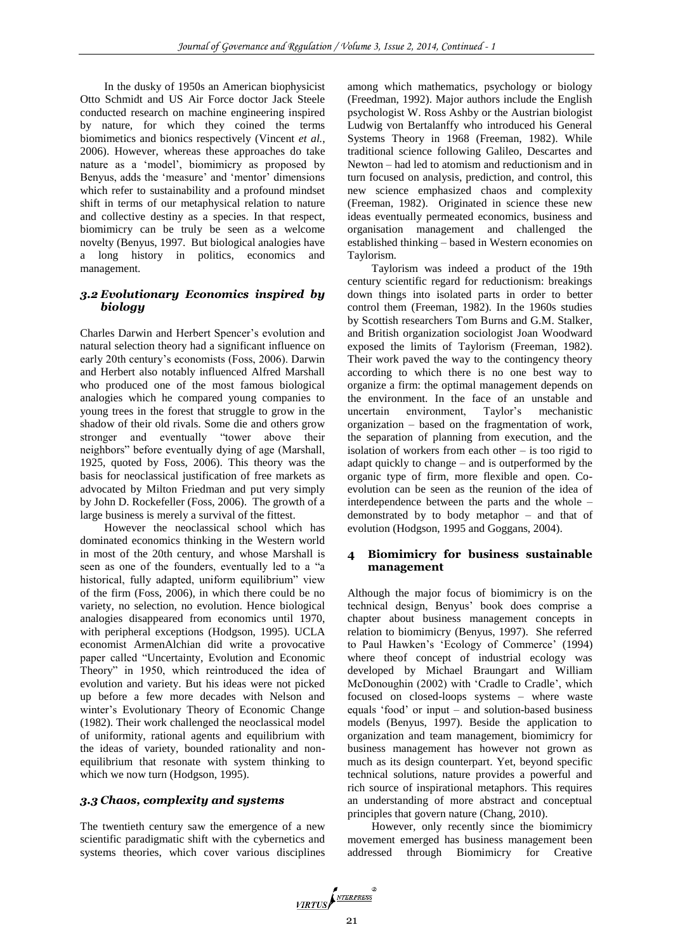In the dusky of 1950s an American biophysicist Otto Schmidt and US Air Force doctor Jack Steele conducted research on machine engineering inspired by nature, for which they coined the terms biomimetics and bionics respectively (Vincent *et al.*, 2006). However, whereas these approaches do take nature as a 'model', biomimicry as proposed by Benyus, adds the 'measure' and 'mentor' dimensions which refer to sustainability and a profound mindset shift in terms of our metaphysical relation to nature and collective destiny as a species. In that respect, biomimicry can be truly be seen as a welcome novelty (Benyus, 1997. But biological analogies have a long history in politics, economics and management.

## *3.2 Evolutionary Economics inspired by biology*

Charles Darwin and Herbert Spencer's evolution and natural selection theory had a significant influence on early 20th century's economists (Foss, 2006). Darwin and Herbert also notably influenced Alfred Marshall who produced one of the most famous biological analogies which he compared young companies to young trees in the forest that struggle to grow in the shadow of their old rivals. Some die and others grow stronger and eventually "tower above their neighbors" before eventually dying of age (Marshall, 1925, quoted by Foss, 2006). This theory was the basis for neoclassical justification of free markets as advocated by Milton Friedman and put very simply by John D. Rockefeller (Foss, 2006). The growth of a large business is merely a survival of the fittest.

However the neoclassical school which has dominated economics thinking in the Western world in most of the 20th century, and whose Marshall is seen as one of the founders, eventually led to a "a historical, fully adapted, uniform equilibrium" view of the firm (Foss, 2006), in which there could be no variety, no selection, no evolution. Hence biological analogies disappeared from economics until 1970, with peripheral exceptions (Hodgson, 1995). UCLA economist ArmenAlchian did write a provocative paper called "Uncertainty, Evolution and Economic Theory" in 1950, which reintroduced the idea of evolution and variety. But his ideas were not picked up before a few more decades with Nelson and winter's Evolutionary Theory of Economic Change (1982). Their work challenged the neoclassical model of uniformity, rational agents and equilibrium with the ideas of variety, bounded rationality and nonequilibrium that resonate with system thinking to which we now turn (Hodgson, 1995).

#### *3.3 Chaos, complexity and systems*

The twentieth century saw the emergence of a new scientific paradigmatic shift with the cybernetics and systems theories, which cover various disciplines among which mathematics, psychology or biology (Freedman, 1992). Major authors include the English psychologist W. Ross Ashby or the Austrian biologist Ludwig von Bertalanffy who introduced his General Systems Theory in 1968 (Freeman, 1982). While traditional science following Galileo, Descartes and Newton – had led to atomism and reductionism and in turn focused on analysis, prediction, and control, this new science emphasized chaos and complexity (Freeman, 1982). Originated in science these new ideas eventually permeated economics, business and organisation management and challenged the established thinking – based in Western economies on Taylorism.

Taylorism was indeed a product of the 19th century scientific regard for reductionism: breakings down things into isolated parts in order to better control them (Freeman, 1982). In the 1960s studies by Scottish researchers Tom Burns and G.M. Stalker, and British organization sociologist Joan Woodward exposed the limits of Taylorism (Freeman, 1982). Their work paved the way to the contingency theory according to which there is no one best way to organize a firm: the optimal management depends on the environment. In the face of an unstable and uncertain environment, Taylor's mechanistic organization – based on the fragmentation of work, the separation of planning from execution, and the isolation of workers from each other – is too rigid to adapt quickly to change – and is outperformed by the organic type of firm, more flexible and open. Coevolution can be seen as the reunion of the idea of interdependence between the parts and the whole – demonstrated by to body metaphor – and that of evolution (Hodgson, 1995 and Goggans, 2004).

#### **4 Biomimicry for business sustainable management**

Although the major focus of biomimicry is on the technical design, Benyus' book does comprise a chapter about business management concepts in relation to biomimicry (Benyus, 1997). She referred to Paul Hawken's 'Ecology of Commerce' (1994) where theof concept of industrial ecology was developed by Michael Braungart and William McDonoughin (2002) with 'Cradle to Cradle', which focused on closed-loops systems – where waste equals 'food' or input – and solution-based business models (Benyus, 1997). Beside the application to organization and team management, biomimicry for business management has however not grown as much as its design counterpart. Yet, beyond specific technical solutions, nature provides a powerful and rich source of inspirational metaphors. This requires an understanding of more abstract and conceptual principles that govern nature (Chang, 2010).

However, only recently since the biomimicry movement emerged has business management been addressed through Biomimicry for Creative

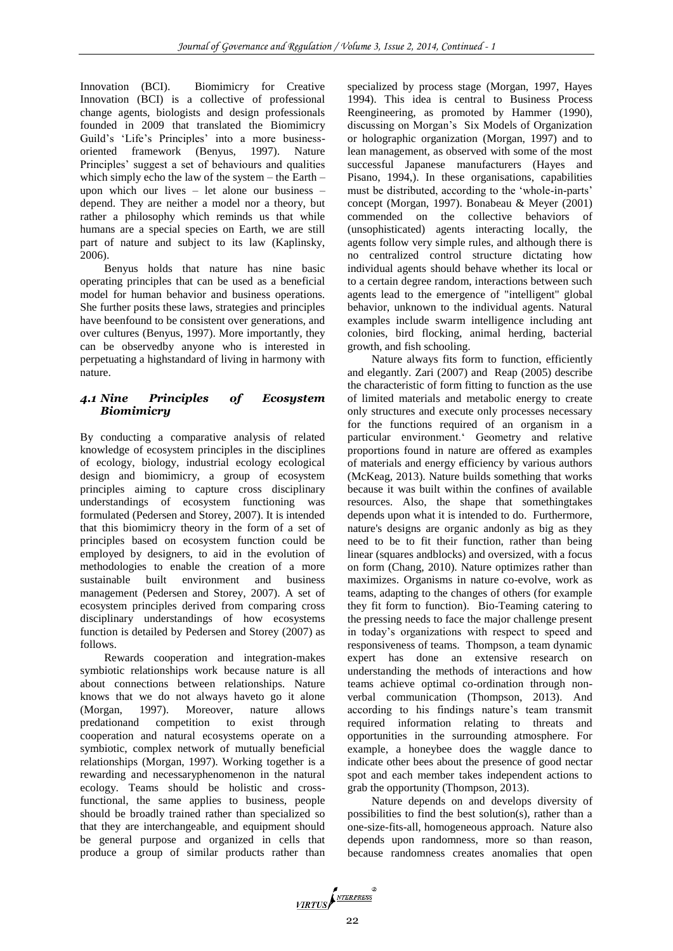Innovation (BCI). Biomimicry for Creative Innovation (BCI) is a collective of professional change agents, biologists and design professionals founded in 2009 that translated the Biomimicry Guild's 'Life's Principles' into a more businessoriented framework (Benyus, 1997). Nature Principles' suggest a set of behaviours and qualities which simply echo the law of the system – the Earth – upon which our lives – let alone our business – depend. They are neither a model nor a theory, but rather a philosophy which reminds us that while humans are a special species on Earth, we are still part of nature and subject to its law (Kaplinsky,  $2006$ ).

Benyus holds that nature has nine basic operating principles that can be used as a beneficial model for human behavior and business operations. She further posits these laws, strategies and principles have beenfound to be consistent over generations, and over cultures (Benyus, 1997). More importantly, they can be observedby anyone who is interested in perpetuating a highstandard of living in harmony with nature.

# *4.1 Nine Principles of Ecosystem Biomimicry*

By conducting a comparative analysis of related knowledge of ecosystem principles in the disciplines of ecology, biology, industrial ecology ecological design and biomimicry, a group of ecosystem principles aiming to capture cross disciplinary understandings of ecosystem functioning was formulated (Pedersen and Storey, 2007). It is intended that this biomimicry theory in the form of a set of principles based on ecosystem function could be employed by designers, to aid in the evolution of methodologies to enable the creation of a more sustainable built environment and business management (Pedersen and Storey, 2007). A set of ecosystem principles derived from comparing cross disciplinary understandings of how ecosystems function is detailed by Pedersen and Storey (2007) as follows.

Rewards cooperation and integration-makes symbiotic relationships work because nature is all about connections between relationships. Nature knows that we do not always haveto go it alone (Morgan, 1997). Moreover, nature allows predationand competition to exist through cooperation and natural ecosystems operate on a symbiotic, complex network of mutually beneficial relationships (Morgan, 1997). Working together is a rewarding and necessaryphenomenon in the natural ecology. Teams should be holistic and crossfunctional, the same applies to business, people should be broadly trained rather than specialized so that they are interchangeable, and equipment should be general purpose and organized in cells that produce a group of similar products rather than specialized by process stage (Morgan, 1997, Hayes 1994). This idea is central to Business Process Reengineering, as promoted by Hammer (1990), discussing on Morgan's Six Models of Organization or holographic organization (Morgan, 1997) and to lean management, as observed with some of the most successful Japanese manufacturers (Hayes and Pisano, 1994,). In these organisations, capabilities must be distributed, according to the 'whole-in-parts' concept (Morgan, 1997). Bonabeau & Meyer (2001) commended on the collective behaviors of (unsophisticated) agents interacting locally, the agents follow very simple rules, and although there is no centralized control structure dictating how individual agents should behave whether its local or to a certain degree random, interactions between such agents lead to the emergence of "intelligent" global behavior, unknown to the individual agents. Natural examples include swarm intelligence including ant colonies, bird flocking, animal herding, bacterial growth, and fish schooling.

Nature always fits form to function, efficiently and elegantly. Zari (2007) and Reap (2005) describe the characteristic of form fitting to function as the use of limited materials and metabolic energy to create only structures and execute only processes necessary for the functions required of an organism in a particular environment.' Geometry and relative proportions found in nature are offered as examples of materials and energy efficiency by various authors (McKeag, 2013). Nature builds something that works because it was built within the confines of available resources. Also, the shape that somethingtakes depends upon what it is intended to do. Furthermore, nature's designs are organic andonly as big as they need to be to fit their function, rather than being linear (squares andblocks) and oversized, with a focus on form (Chang, 2010). Nature optimizes rather than maximizes. Organisms in nature co-evolve, work as teams, adapting to the changes of others (for example they fit form to function). Bio-Teaming catering to the pressing needs to face the major challenge present in today's organizations with respect to speed and responsiveness of teams. Thompson, a team dynamic expert has done an extensive research on understanding the methods of interactions and how teams achieve optimal co-ordination through nonverbal communication (Thompson, 2013). And according to his findings nature's team transmit required information relating to threats and opportunities in the surrounding atmosphere. For example, a honeybee does the waggle dance to indicate other bees about the presence of good nectar spot and each member takes independent actions to grab the opportunity (Thompson, 2013).

Nature depends on and develops diversity of possibilities to find the best solution(s), rather than a one-size-fits-all, homogeneous approach. Nature also depends upon randomness, more so than reason, because randomness creates anomalies that open

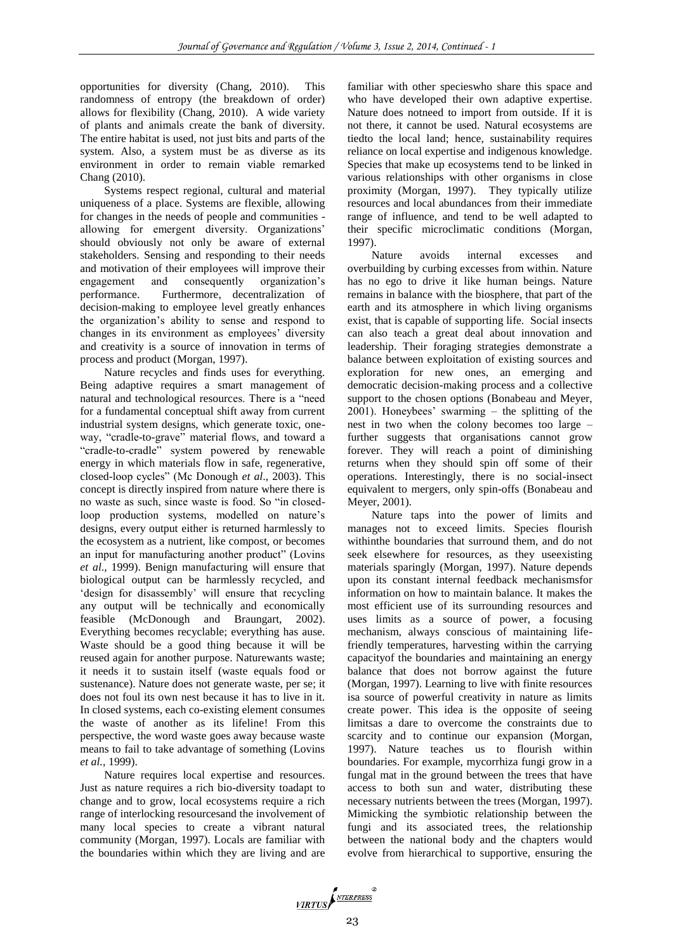opportunities for diversity (Chang, 2010). This randomness of entropy (the breakdown of order) allows for flexibility (Chang, 2010). A wide variety of plants and animals create the bank of diversity. The entire habitat is used, not just bits and parts of the system. Also, a system must be as diverse as its environment in order to remain viable remarked Chang (2010).

Systems respect regional, cultural and material uniqueness of a place. Systems are flexible, allowing for changes in the needs of people and communities allowing for emergent diversity. Organizations' should obviously not only be aware of external stakeholders. Sensing and responding to their needs and motivation of their employees will improve their engagement and consequently organization's performance. Furthermore, decentralization of decision-making to employee level greatly enhances the organization's ability to sense and respond to changes in its environment as employees' diversity and creativity is a source of innovation in terms of process and product (Morgan, 1997).

Nature recycles and finds uses for everything. Being adaptive requires a smart management of natural and technological resources. There is a "need for a fundamental conceptual shift away from current industrial system designs, which generate toxic, oneway, "cradle-to-grave" material flows, and toward a "cradle-to-cradle" system powered by renewable energy in which materials flow in safe, regenerative, closed-loop cycles" (Mc Donough *et al*., 2003). This concept is directly inspired from nature where there is no waste as such, since waste is food. So "in closedloop production systems, modelled on nature's designs, every output either is returned harmlessly to the ecosystem as a nutrient, like compost, or becomes an input for manufacturing another product" (Lovins *et al*., 1999). Benign manufacturing will ensure that biological output can be harmlessly recycled, and 'design for disassembly' will ensure that recycling any output will be technically and economically feasible (McDonough and Braungart, 2002). Everything becomes recyclable; everything has ause. Waste should be a good thing because it will be reused again for another purpose. Naturewants waste; it needs it to sustain itself (waste equals food or sustenance). Nature does not generate waste, per se; it does not foul its own nest because it has to live in it. In closed systems, each co-existing element consumes the waste of another as its lifeline! From this perspective, the word waste goes away because waste means to fail to take advantage of something (Lovins *et al.*, 1999).

Nature requires local expertise and resources. Just as nature requires a rich bio-diversity toadapt to change and to grow, local ecosystems require a rich range of interlocking resourcesand the involvement of many local species to create a vibrant natural community (Morgan, 1997). Locals are familiar with the boundaries within which they are living and are

familiar with other specieswho share this space and who have developed their own adaptive expertise. Nature does notneed to import from outside. If it is not there, it cannot be used. Natural ecosystems are tiedto the local land; hence, sustainability requires reliance on local expertise and indigenous knowledge. Species that make up ecosystems tend to be linked in various relationships with other organisms in close proximity (Morgan, 1997). They typically utilize resources and local abundances from their immediate range of influence, and tend to be well adapted to their specific microclimatic conditions (Morgan, 1997).

Nature avoids internal excesses and overbuilding by curbing excesses from within. Nature has no ego to drive it like human beings. Nature remains in balance with the biosphere, that part of the earth and its atmosphere in which living organisms exist, that is capable of supporting life. Social insects can also teach a great deal about innovation and leadership. Their foraging strategies demonstrate a balance between exploitation of existing sources and exploration for new ones, an emerging and democratic decision-making process and a collective support to the chosen options (Bonabeau and Meyer, 2001). Honeybees' swarming – the splitting of the nest in two when the colony becomes too large – further suggests that organisations cannot grow forever. They will reach a point of diminishing returns when they should spin off some of their operations. Interestingly, there is no social-insect equivalent to mergers, only spin-offs (Bonabeau and Meyer, 2001).

Nature taps into the power of limits and manages not to exceed limits. Species flourish withinthe boundaries that surround them, and do not seek elsewhere for resources, as they useexisting materials sparingly (Morgan, 1997). Nature depends upon its constant internal feedback mechanismsfor information on how to maintain balance. It makes the most efficient use of its surrounding resources and uses limits as a source of power, a focusing mechanism, always conscious of maintaining lifefriendly temperatures, harvesting within the carrying capacityof the boundaries and maintaining an energy balance that does not borrow against the future (Morgan, 1997). Learning to live with finite resources isa source of powerful creativity in nature as limits create power. This idea is the opposite of seeing limitsas a dare to overcome the constraints due to scarcity and to continue our expansion (Morgan, 1997). Nature teaches us to flourish within boundaries. For example, mycorrhiza fungi grow in a fungal mat in the ground between the trees that have access to both sun and water, distributing these necessary nutrients between the trees (Morgan, 1997). Mimicking the symbiotic relationship between the fungi and its associated trees, the relationship between the national body and the chapters would evolve from hierarchical to supportive, ensuring the

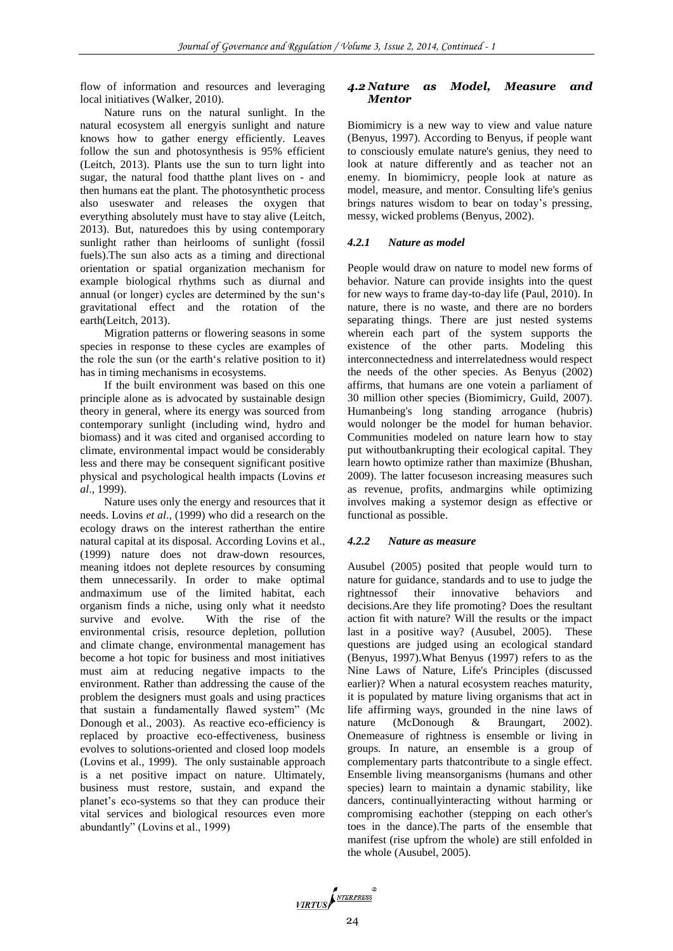flow of information and resources and leveraging local initiatives (Walker, 2010).

Nature runs on the natural sunlight. In the natural ecosystem all energyis sunlight and nature knows how to gather energy efficiently. Leaves follow the sun and photosynthesis is 95% efficient (Leitch, 2013). Plants use the sun to turn light into sugar, the natural food thatthe plant lives on - and then humans eat the plant. The photosynthetic process also useswater and releases the oxygen that everything absolutely must have to stay alive (Leitch, 2013). But, naturedoes this by using contemporary sunlight rather than heirlooms of sunlight (fossil fuels).The sun also acts as a timing and directional orientation or spatial organization mechanism for example biological rhythms such as diurnal and annual (or longer) cycles are determined by the sun's gravitational effect and the rotation of the earth(Leitch, 2013).

Migration patterns or flowering seasons in some species in response to these cycles are examples of the role the sun (or the earth's relative position to it) has in timing mechanisms in ecosystems.

If the built environment was based on this one principle alone as is advocated by sustainable design theory in general, where its energy was sourced from contemporary sunlight (including wind, hydro and biomass) and it was cited and organised according to climate, environmental impact would be considerably less and there may be consequent significant positive physical and psychological health impacts (Lovins *et al*., 1999).

Nature uses only the energy and resources that it needs. Lovins *et al*., (1999) who did a research on the ecology draws on the interest ratherthan the entire natural capital at its disposal. According Lovins et al., (1999) nature does not draw-down resources, meaning itdoes not deplete resources by consuming them unnecessarily. In order to make optimal andmaximum use of the limited habitat, each organism finds a niche, using only what it needsto survive and evolve. With the rise of the environmental crisis, resource depletion, pollution and climate change, environmental management has become a hot topic for business and most initiatives must aim at reducing negative impacts to the environment. Rather than addressing the cause of the problem the designers must goals and using practices that sustain a fundamentally flawed system" (Mc Donough et al., 2003). As reactive eco-efficiency is replaced by proactive eco-effectiveness, business evolves to solutions-oriented and closed loop models (Lovins et al., 1999). The only sustainable approach is a net positive impact on nature. Ultimately, business must restore, sustain, and expand the planet's eco-systems so that they can produce their vital services and biological resources even more abundantly" (Lovins et al., 1999)

#### *4.2 Nature as Model, Measure and Mentor*

Biomimicry is a new way to view and value nature (Benyus, 1997). According to Benyus, if people want to consciously emulate nature's genius, they need to look at nature differently and as teacher not an enemy. In biomimicry, people look at nature as model, measure, and mentor. Consulting life's genius brings natures wisdom to bear on today's pressing, messy, wicked problems (Benyus, 2002).

#### *4.2.1 Nature as model*

People would draw on nature to model new forms of behavior. Nature can provide insights into the quest for new ways to frame day-to-day life (Paul, 2010). In nature, there is no waste, and there are no borders separating things. There are just nested systems wherein each part of the system supports the existence of the other parts. Modeling this interconnectedness and interrelatedness would respect the needs of the other species. As Benyus (2002) affirms, that humans are one votein a parliament of 30 million other species (Biomimicry, Guild, 2007). Humanbeing's long standing arrogance (hubris) would nolonger be the model for human behavior. Communities modeled on nature learn how to stay put withoutbankrupting their ecological capital. They learn howto optimize rather than maximize (Bhushan, 2009). The latter focuseson increasing measures such as revenue, profits, andmargins while optimizing involves making a systemor design as effective or functional as possible.

## *4.2.2 Nature as measure*

Ausubel (2005) posited that people would turn to nature for guidance, standards and to use to judge the rightnessof their innovative behaviors and decisions.Are they life promoting? Does the resultant action fit with nature? Will the results or the impact last in a positive way? (Ausubel, 2005). These questions are judged using an ecological standard (Benyus, 1997).What Benyus (1997) refers to as the Nine Laws of Nature, Life's Principles (discussed earlier)? When a natural ecosystem reaches maturity, it is populated by mature living organisms that act in life affirming ways, grounded in the nine laws of nature (McDonough & Braungart, 2002). Onemeasure of rightness is ensemble or living in groups. In nature, an ensemble is a group of complementary parts thatcontribute to a single effect. Ensemble living meansorganisms (humans and other species) learn to maintain a dynamic stability, like dancers, continuallyinteracting without harming or compromising eachother (stepping on each other's toes in the dance).The parts of the ensemble that manifest (rise upfrom the whole) are still enfolded in the whole (Ausubel, 2005).

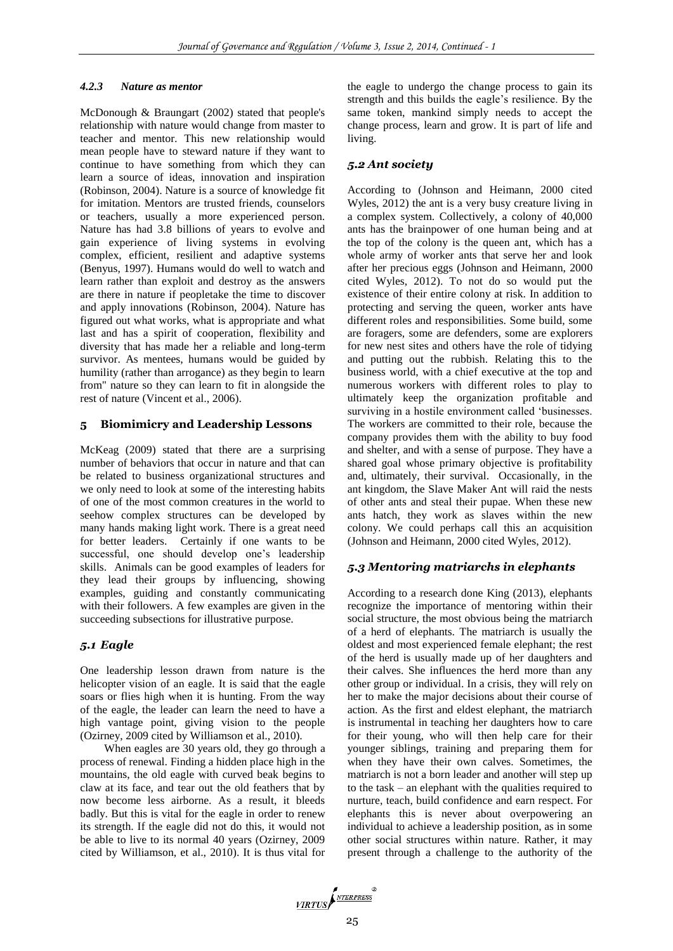#### *4.2.3 Nature as mentor*

McDonough & Braungart (2002) stated that people's relationship with nature would change from master to teacher and mentor. This new relationship would mean people have to steward nature if they want to continue to have something from which they can learn a source of ideas, innovation and inspiration (Robinson, 2004). Nature is a source of knowledge fit for imitation. Mentors are trusted friends, counselors or teachers, usually a more experienced person. Nature has had 3.8 billions of years to evolve and gain experience of living systems in evolving complex, efficient, resilient and adaptive systems (Benyus, 1997). Humans would do well to watch and learn rather than exploit and destroy as the answers are there in nature if peopletake the time to discover and apply innovations (Robinson, 2004). Nature has figured out what works, what is appropriate and what last and has a spirit of cooperation, flexibility and diversity that has made her a reliable and long-term survivor. As mentees, humans would be guided by humility (rather than arrogance) as they begin to learn from" nature so they can learn to fit in alongside the rest of nature (Vincent et al., 2006).

#### **5 Biomimicry and Leadership Lessons**

McKeag (2009) stated that there are a surprising number of behaviors that occur in nature and that can be related to business organizational structures and we only need to look at some of the interesting habits of one of the most common creatures in the world to seehow complex structures can be developed by many hands making light work. There is a great need for better leaders. Certainly if one wants to be successful, one should develop one's leadership skills. Animals can be good examples of leaders for they lead their groups by influencing, showing examples, guiding and constantly communicating with their followers. A few examples are given in the succeeding subsections for illustrative purpose.

#### *5.1 Eagle*

One leadership lesson drawn from nature is the helicopter vision of an eagle. It is said that the eagle soars or flies high when it is hunting. From the way of the eagle, the leader can learn the need to have a high vantage point, giving vision to the people (Ozirney, 2009 cited by Williamson et al., 2010).

When eagles are 30 years old, they go through a process of renewal. Finding a hidden place high in the mountains, the old eagle with curved beak begins to claw at its face, and tear out the old feathers that by now become less airborne. As a result, it bleeds badly. But this is vital for the eagle in order to renew its strength. If the eagle did not do this, it would not be able to live to its normal 40 years (Ozirney, 2009 cited by Williamson, et al., 2010). It is thus vital for the eagle to undergo the change process to gain its strength and this builds the eagle's resilience. By the same token, mankind simply needs to accept the change process, learn and grow. It is part of life and living.

#### *5.2 Ant society*

According to (Johnson and Heimann, 2000 cited Wyles, 2012) the ant is a very busy creature living in a complex system. Collectively, a colony of 40,000 ants has the brainpower of one human being and at the top of the colony is the queen ant, which has a whole army of worker ants that serve her and look after her precious eggs (Johnson and Heimann, 2000 cited Wyles, 2012). To not do so would put the existence of their entire colony at risk. In addition to protecting and serving the queen, worker ants have different roles and responsibilities. Some build, some are foragers, some are defenders, some are explorers for new nest sites and others have the role of tidying and putting out the rubbish. Relating this to the business world, with a chief executive at the top and numerous workers with different roles to play to ultimately keep the organization profitable and surviving in a hostile environment called 'businesses. The workers are committed to their role, because the company provides them with the ability to buy food and shelter, and with a sense of purpose. They have a shared goal whose primary objective is profitability and, ultimately, their survival. Occasionally, in the ant kingdom, the Slave Maker Ant will raid the nests of other ants and steal their pupae. When these new ants hatch, they work as slaves within the new colony. We could perhaps call this an acquisition (Johnson and Heimann, 2000 cited Wyles, 2012).

#### *5.3 Mentoring matriarchs in elephants*

According to a research done King (2013), elephants recognize the importance of mentoring within their social structure, the most obvious being the matriarch of a herd of elephants. The matriarch is usually the oldest and most experienced female elephant; the rest of the herd is usually made up of her daughters and their calves. She influences the herd more than any other group or individual. In a crisis, they will rely on her to make the major decisions about their course of action. As the first and eldest elephant, the matriarch is instrumental in teaching her daughters how to care for their young, who will then help care for their younger siblings, training and preparing them for when they have their own calves. Sometimes, the matriarch is not a born leader and another will step up to the task – an elephant with the qualities required to nurture, teach, build confidence and earn respect. For elephants this is never about overpowering an individual to achieve a leadership position, as in some other social structures within nature. Rather, it may present through a challenge to the authority of the

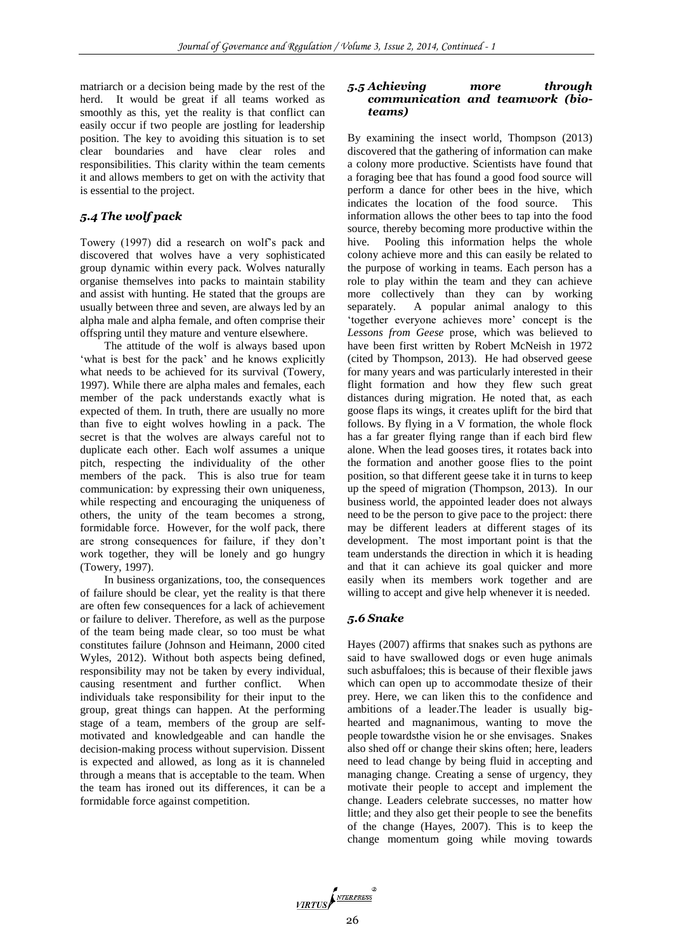matriarch or a decision being made by the rest of the herd. It would be great if all teams worked as smoothly as this, yet the reality is that conflict can easily occur if two people are jostling for leadership position. The key to avoiding this situation is to set clear boundaries and have clear roles and responsibilities. This clarity within the team cements it and allows members to get on with the activity that is essential to the project.

# *5.4 The wolf pack*

Towery (1997) did a research on wolf's pack and discovered that wolves have a very sophisticated group dynamic within every pack. Wolves naturally organise themselves into packs to maintain stability and assist with hunting. He stated that the groups are usually between three and seven, are always led by an alpha male and alpha female, and often comprise their offspring until they mature and venture elsewhere.

The attitude of the wolf is always based upon 'what is best for the pack' and he knows explicitly what needs to be achieved for its survival (Towery, 1997). While there are alpha males and females, each member of the pack understands exactly what is expected of them. In truth, there are usually no more than five to eight wolves howling in a pack. The secret is that the wolves are always careful not to duplicate each other. Each wolf assumes a unique pitch, respecting the individuality of the other members of the pack. This is also true for team communication: by expressing their own uniqueness, while respecting and encouraging the uniqueness of others, the unity of the team becomes a strong, formidable force. However, for the wolf pack, there are strong consequences for failure, if they don't work together, they will be lonely and go hungry (Towery, 1997).

In business organizations, too, the consequences of failure should be clear, yet the reality is that there are often few consequences for a lack of achievement or failure to deliver. Therefore, as well as the purpose of the team being made clear, so too must be what constitutes failure (Johnson and Heimann, 2000 cited Wyles, 2012). Without both aspects being defined, responsibility may not be taken by every individual, causing resentment and further conflict. When individuals take responsibility for their input to the group, great things can happen. At the performing stage of a team, members of the group are selfmotivated and knowledgeable and can handle the decision-making process without supervision. Dissent is expected and allowed, as long as it is channeled through a means that is acceptable to the team. When the team has ironed out its differences, it can be a formidable force against competition.

#### *5.5 Achieving more through communication and teamwork (bioteams)*

By examining the insect world, Thompson (2013) discovered that the gathering of information can make a colony more productive. Scientists have found that a foraging bee that has found a good food source will perform a dance for other bees in the hive, which indicates the location of the food source. This information allows the other bees to tap into the food source, thereby becoming more productive within the hive. Pooling this information helps the whole colony achieve more and this can easily be related to the purpose of working in teams. Each person has a role to play within the team and they can achieve more collectively than they can by working separately. A popular animal analogy to this 'together everyone achieves more' concept is the *Lessons from Geese* prose, which was believed to have been first written by Robert McNeish in 1972 (cited by Thompson, 2013). He had observed geese for many years and was particularly interested in their flight formation and how they flew such great distances during migration. He noted that, as each goose flaps its wings, it creates uplift for the bird that follows. By flying in a V formation, the whole flock has a far greater flying range than if each bird flew alone. When the lead gooses tires, it rotates back into the formation and another goose flies to the point position, so that different geese take it in turns to keep up the speed of migration (Thompson, 2013). In our business world, the appointed leader does not always need to be the person to give pace to the project: there may be different leaders at different stages of its development. The most important point is that the team understands the direction in which it is heading and that it can achieve its goal quicker and more easily when its members work together and are willing to accept and give help whenever it is needed.

#### *5.6 Snake*

Hayes (2007) affirms that snakes such as pythons are said to have swallowed dogs or even huge animals such asbuffaloes; this is because of their flexible jaws which can open up to accommodate thesize of their prey. Here, we can liken this to the confidence and ambitions of a leader.The leader is usually bighearted and magnanimous, wanting to move the people towardsthe vision he or she envisages. Snakes also shed off or change their skins often; here, leaders need to lead change by being fluid in accepting and managing change. Creating a sense of urgency, they motivate their people to accept and implement the change. Leaders celebrate successes, no matter how little; and they also get their people to see the benefits of the change (Hayes, 2007). This is to keep the change momentum going while moving towards

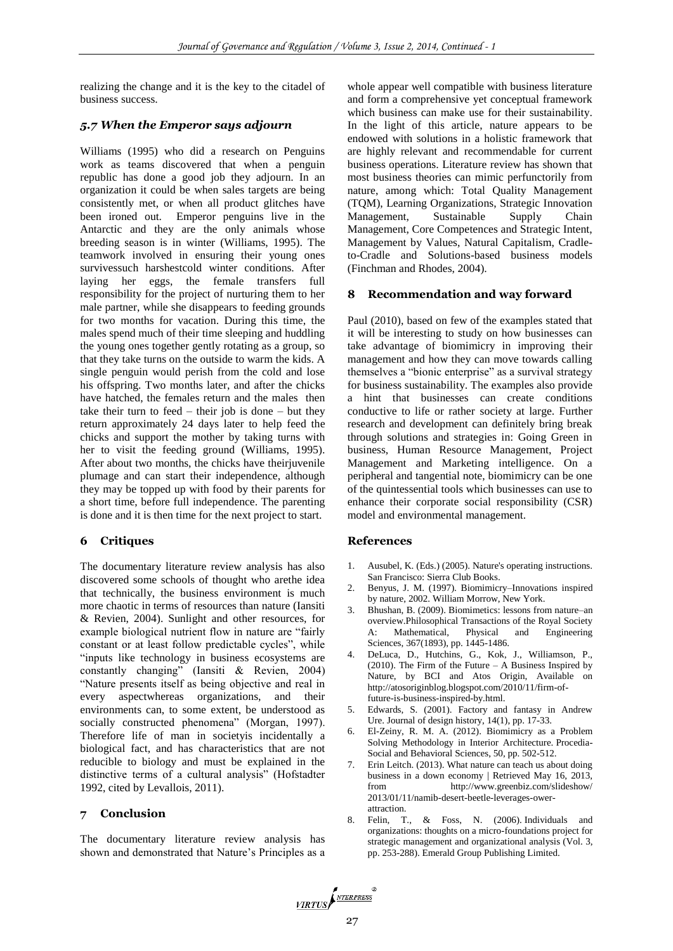realizing the change and it is the key to the citadel of business success.

## *5.7 When the Emperor says adjourn*

Williams (1995) who did a research on Penguins work as teams discovered that when a penguin republic has done a good job they adjourn. In an organization it could be when sales targets are being consistently met, or when all product glitches have been ironed out. Emperor penguins live in the Antarctic and they are the only animals whose breeding season is in winter (Williams, 1995). The teamwork involved in ensuring their young ones survivessuch harshestcold winter conditions. After laying her eggs, the female transfers full responsibility for the project of nurturing them to her male partner, while she disappears to feeding grounds for two months for vacation. During this time, the males spend much of their time sleeping and huddling the young ones together gently rotating as a group, so that they take turns on the outside to warm the kids. A single penguin would perish from the cold and lose his offspring. Two months later, and after the chicks have hatched, the females return and the males then take their turn to feed – their job is done – but they return approximately 24 days later to help feed the chicks and support the mother by taking turns with her to visit the feeding ground (Williams, 1995). After about two months, the chicks have theirjuvenile plumage and can start their independence, although they may be topped up with food by their parents for a short time, before full independence. The parenting is done and it is then time for the next project to start.

#### **6 Critiques**

The documentary literature review analysis has also discovered some schools of thought who arethe idea that technically, the business environment is much more chaotic in terms of resources than nature (Iansiti & Revien, 2004). Sunlight and other resources, for example biological nutrient flow in nature are "fairly constant or at least follow predictable cycles", while "inputs like technology in business ecosystems are constantly changing" (Iansiti & Revien, 2004) "Nature presents itself as being objective and real in every aspectwhereas organizations, and their environments can, to some extent, be understood as socially constructed phenomena" (Morgan, 1997). Therefore life of man in societyis incidentally a biological fact, and has characteristics that are not reducible to biology and must be explained in the distinctive terms of a cultural analysis" (Hofstadter 1992, cited by Levallois, 2011).

#### **7 Conclusion**

The documentary literature review analysis has shown and demonstrated that Nature's Principles as a

whole appear well compatible with business literature and form a comprehensive yet conceptual framework which business can make use for their sustainability. In the light of this article, nature appears to be endowed with solutions in a holistic framework that are highly relevant and recommendable for current business operations. Literature review has shown that most business theories can mimic perfunctorily from nature, among which: Total Quality Management (TQM), Learning Organizations, Strategic Innovation Management, Sustainable Supply Chain Management, Core Competences and Strategic Intent, Management by Values, Natural Capitalism, Cradleto-Cradle and Solutions-based business models (Finchman and Rhodes, 2004).

#### **8 Recommendation and way forward**

Paul (2010), based on few of the examples stated that it will be interesting to study on how businesses can take advantage of biomimicry in improving their management and how they can move towards calling themselves a "bionic enterprise" as a survival strategy for business sustainability. The examples also provide a hint that businesses can create conditions conductive to life or rather society at large. Further research and development can definitely bring break through solutions and strategies in: Going Green in business, Human Resource Management, Project Management and Marketing intelligence. On a peripheral and tangential note, biomimicry can be one of the quintessential tools which businesses can use to enhance their corporate social responsibility (CSR) model and environmental management.

#### **References**

- 1. Ausubel, K. (Eds.) (2005). Nature's operating instructions. San Francisco: Sierra Club Books.
- 2. Benyus, J. M. (1997). Biomimicry–Innovations inspired by nature, 2002. William Morrow, New York.
- 3. Bhushan, B. (2009). Biomimetics: lessons from nature–an overview.Philosophical Transactions of the Royal Society A: Mathematical, Physical and Engineering Sciences, 367(1893), pp. 1445-1486.
- 4. DeLuca, D., Hutchins, G., Kok, J., Williamson, P.,  $(2010)$ . The Firm of the Future – A Business Inspired by Nature, by BCI and Atos Origin, Available on http://atosoriginblog.blogspot.com/2010/11/firm-offuture-is-business-inspired-by.html.
- 5. Edwards, S. (2001). Factory and fantasy in Andrew Ure. Journal of design history, 14(1), pp. 17-33.
- 6. El-Zeiny, R. M. A. (2012). Biomimicry as a Problem Solving Methodology in Interior Architecture. Procedia-Social and Behavioral Sciences, 50, pp. 502-512.
- 7. Erin Leitch. (2013). What nature can teach us about doing business in a down economy | Retrieved May 16, 2013, from http://www.greenbiz.com/slideshow/ 2013/01/11/namib-desert-beetle-leverages-owerattraction.
- 8. Felin, T., & Foss, N. (2006). Individuals and organizations: thoughts on a micro-foundations project for strategic management and organizational analysis (Vol. 3, pp. 253-288). Emerald Group Publishing Limited.